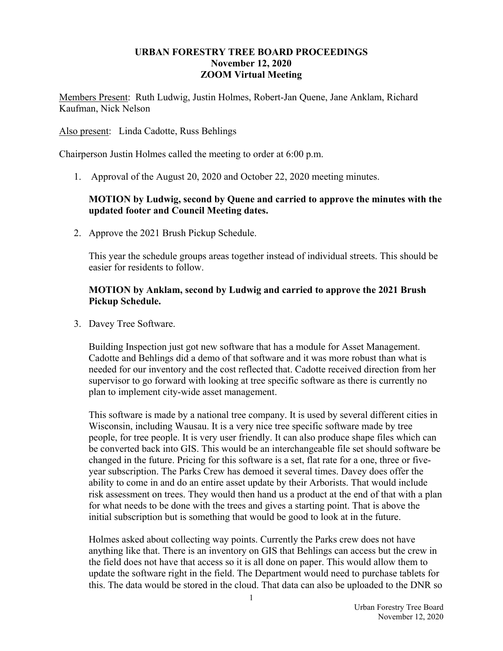# **URBAN FORESTRY TREE BOARD PROCEEDINGS November 12, 2020 ZOOM Virtual Meeting**

Members Present: Ruth Ludwig, Justin Holmes, Robert-Jan Quene, Jane Anklam, Richard Kaufman, Nick Nelson

Also present: Linda Cadotte, Russ Behlings

Chairperson Justin Holmes called the meeting to order at 6:00 p.m.

1. Approval of the August 20, 2020 and October 22, 2020 meeting minutes.

# **MOTION by Ludwig, second by Quene and carried to approve the minutes with the updated footer and Council Meeting dates.**

2. Approve the 2021 Brush Pickup Schedule.

This year the schedule groups areas together instead of individual streets. This should be easier for residents to follow.

# **MOTION by Anklam, second by Ludwig and carried to approve the 2021 Brush Pickup Schedule.**

3. Davey Tree Software.

Building Inspection just got new software that has a module for Asset Management. Cadotte and Behlings did a demo of that software and it was more robust than what is needed for our inventory and the cost reflected that. Cadotte received direction from her supervisor to go forward with looking at tree specific software as there is currently no plan to implement city-wide asset management.

This software is made by a national tree company. It is used by several different cities in Wisconsin, including Wausau. It is a very nice tree specific software made by tree people, for tree people. It is very user friendly. It can also produce shape files which can be converted back into GIS. This would be an interchangeable file set should software be changed in the future. Pricing for this software is a set, flat rate for a one, three or fiveyear subscription. The Parks Crew has demoed it several times. Davey does offer the ability to come in and do an entire asset update by their Arborists. That would include risk assessment on trees. They would then hand us a product at the end of that with a plan for what needs to be done with the trees and gives a starting point. That is above the initial subscription but is something that would be good to look at in the future.

Holmes asked about collecting way points. Currently the Parks crew does not have anything like that. There is an inventory on GIS that Behlings can access but the crew in the field does not have that access so it is all done on paper. This would allow them to update the software right in the field. The Department would need to purchase tablets for this. The data would be stored in the cloud. That data can also be uploaded to the DNR so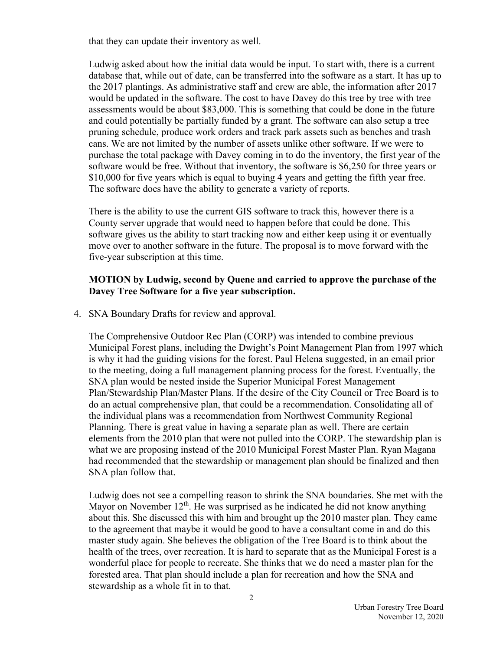that they can update their inventory as well.

Ludwig asked about how the initial data would be input. To start with, there is a current database that, while out of date, can be transferred into the software as a start. It has up to the 2017 plantings. As administrative staff and crew are able, the information after 2017 would be updated in the software. The cost to have Davey do this tree by tree with tree assessments would be about \$83,000. This is something that could be done in the future and could potentially be partially funded by a grant. The software can also setup a tree pruning schedule, produce work orders and track park assets such as benches and trash cans. We are not limited by the number of assets unlike other software. If we were to purchase the total package with Davey coming in to do the inventory, the first year of the software would be free. Without that inventory, the software is \$6,250 for three years or \$10,000 for five years which is equal to buying 4 years and getting the fifth year free. The software does have the ability to generate a variety of reports.

There is the ability to use the current GIS software to track this, however there is a County server upgrade that would need to happen before that could be done. This software gives us the ability to start tracking now and either keep using it or eventually move over to another software in the future. The proposal is to move forward with the five-year subscription at this time.

### **MOTION by Ludwig, second by Quene and carried to approve the purchase of the Davey Tree Software for a five year subscription.**

4. SNA Boundary Drafts for review and approval.

The Comprehensive Outdoor Rec Plan (CORP) was intended to combine previous Municipal Forest plans, including the Dwight's Point Management Plan from 1997 which is why it had the guiding visions for the forest. Paul Helena suggested, in an email prior to the meeting, doing a full management planning process for the forest. Eventually, the SNA plan would be nested inside the Superior Municipal Forest Management Plan/Stewardship Plan/Master Plans. If the desire of the City Council or Tree Board is to do an actual comprehensive plan, that could be a recommendation. Consolidating all of the individual plans was a recommendation from Northwest Community Regional Planning. There is great value in having a separate plan as well. There are certain elements from the 2010 plan that were not pulled into the CORP. The stewardship plan is what we are proposing instead of the 2010 Municipal Forest Master Plan. Ryan Magana had recommended that the stewardship or management plan should be finalized and then SNA plan follow that.

Ludwig does not see a compelling reason to shrink the SNA boundaries. She met with the Mayor on November  $12<sup>th</sup>$ . He was surprised as he indicated he did not know anything about this. She discussed this with him and brought up the 2010 master plan. They came to the agreement that maybe it would be good to have a consultant come in and do this master study again. She believes the obligation of the Tree Board is to think about the health of the trees, over recreation. It is hard to separate that as the Municipal Forest is a wonderful place for people to recreate. She thinks that we do need a master plan for the forested area. That plan should include a plan for recreation and how the SNA and stewardship as a whole fit in to that.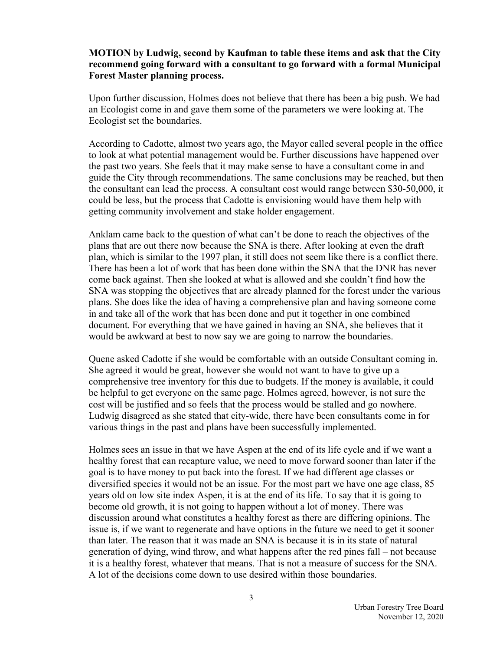#### **MOTION by Ludwig, second by Kaufman to table these items and ask that the City recommend going forward with a consultant to go forward with a formal Municipal Forest Master planning process.**

Upon further discussion, Holmes does not believe that there has been a big push. We had an Ecologist come in and gave them some of the parameters we were looking at. The Ecologist set the boundaries.

According to Cadotte, almost two years ago, the Mayor called several people in the office to look at what potential management would be. Further discussions have happened over the past two years. She feels that it may make sense to have a consultant come in and guide the City through recommendations. The same conclusions may be reached, but then the consultant can lead the process. A consultant cost would range between \$30-50,000, it could be less, but the process that Cadotte is envisioning would have them help with getting community involvement and stake holder engagement.

Anklam came back to the question of what can't be done to reach the objectives of the plans that are out there now because the SNA is there. After looking at even the draft plan, which is similar to the 1997 plan, it still does not seem like there is a conflict there. There has been a lot of work that has been done within the SNA that the DNR has never come back against. Then she looked at what is allowed and she couldn't find how the SNA was stopping the objectives that are already planned for the forest under the various plans. She does like the idea of having a comprehensive plan and having someone come in and take all of the work that has been done and put it together in one combined document. For everything that we have gained in having an SNA, she believes that it would be awkward at best to now say we are going to narrow the boundaries.

Quene asked Cadotte if she would be comfortable with an outside Consultant coming in. She agreed it would be great, however she would not want to have to give up a comprehensive tree inventory for this due to budgets. If the money is available, it could be helpful to get everyone on the same page. Holmes agreed, however, is not sure the cost will be justified and so feels that the process would be stalled and go nowhere. Ludwig disagreed as she stated that city-wide, there have been consultants come in for various things in the past and plans have been successfully implemented.

Holmes sees an issue in that we have Aspen at the end of its life cycle and if we want a healthy forest that can recapture value, we need to move forward sooner than later if the goal is to have money to put back into the forest. If we had different age classes or diversified species it would not be an issue. For the most part we have one age class, 85 years old on low site index Aspen, it is at the end of its life. To say that it is going to become old growth, it is not going to happen without a lot of money. There was discussion around what constitutes a healthy forest as there are differing opinions. The issue is, if we want to regenerate and have options in the future we need to get it sooner than later. The reason that it was made an SNA is because it is in its state of natural generation of dying, wind throw, and what happens after the red pines fall – not because it is a healthy forest, whatever that means. That is not a measure of success for the SNA. A lot of the decisions come down to use desired within those boundaries.